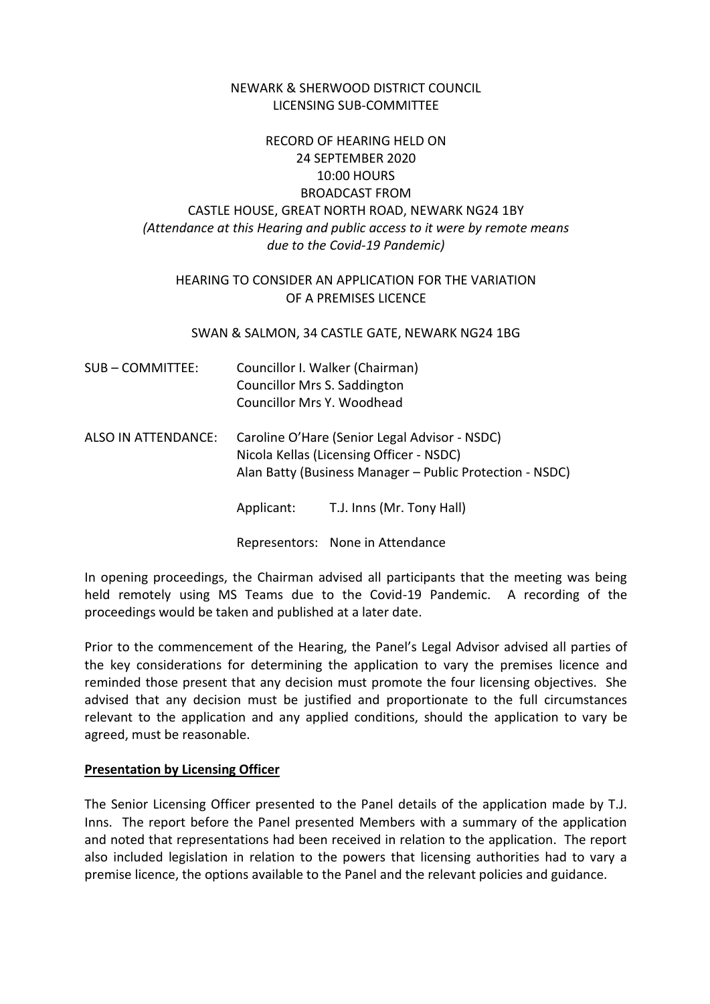### NEWARK & SHERWOOD DISTRICT COUNCIL LICENSING SUB-COMMITTEE

# RECORD OF HEARING HELD ON 24 SEPTEMBER 2020 10:00 HOURS BROADCAST FROM CASTLE HOUSE, GREAT NORTH ROAD, NEWARK NG24 1BY *(Attendance at this Hearing and public access to it were by remote means due to the Covid-19 Pandemic)*

### HEARING TO CONSIDER AN APPLICATION FOR THE VARIATION OF A PREMISES LICENCE

#### SWAN & SALMON, 34 CASTLE GATE, NEWARK NG24 1BG

| SUB-COMMITTEE:      |                                                                                                                                                       | Councillor I. Walker (Chairman)<br>Councillor Mrs S. Saddington<br>Councillor Mrs Y. Woodhead |
|---------------------|-------------------------------------------------------------------------------------------------------------------------------------------------------|-----------------------------------------------------------------------------------------------|
| ALSO IN ATTENDANCE: | Caroline O'Hare (Senior Legal Advisor - NSDC)<br>Nicola Kellas (Licensing Officer - NSDC)<br>Alan Batty (Business Manager - Public Protection - NSDC) |                                                                                               |
|                     | Applicant:                                                                                                                                            | T.J. Inns (Mr. Tony Hall)                                                                     |

Representors: None in Attendance

In opening proceedings, the Chairman advised all participants that the meeting was being held remotely using MS Teams due to the Covid-19 Pandemic. A recording of the proceedings would be taken and published at a later date.

Prior to the commencement of the Hearing, the Panel's Legal Advisor advised all parties of the key considerations for determining the application to vary the premises licence and reminded those present that any decision must promote the four licensing objectives. She advised that any decision must be justified and proportionate to the full circumstances relevant to the application and any applied conditions, should the application to vary be agreed, must be reasonable.

### **Presentation by Licensing Officer**

The Senior Licensing Officer presented to the Panel details of the application made by T.J. Inns. The report before the Panel presented Members with a summary of the application and noted that representations had been received in relation to the application. The report also included legislation in relation to the powers that licensing authorities had to vary a premise licence, the options available to the Panel and the relevant policies and guidance.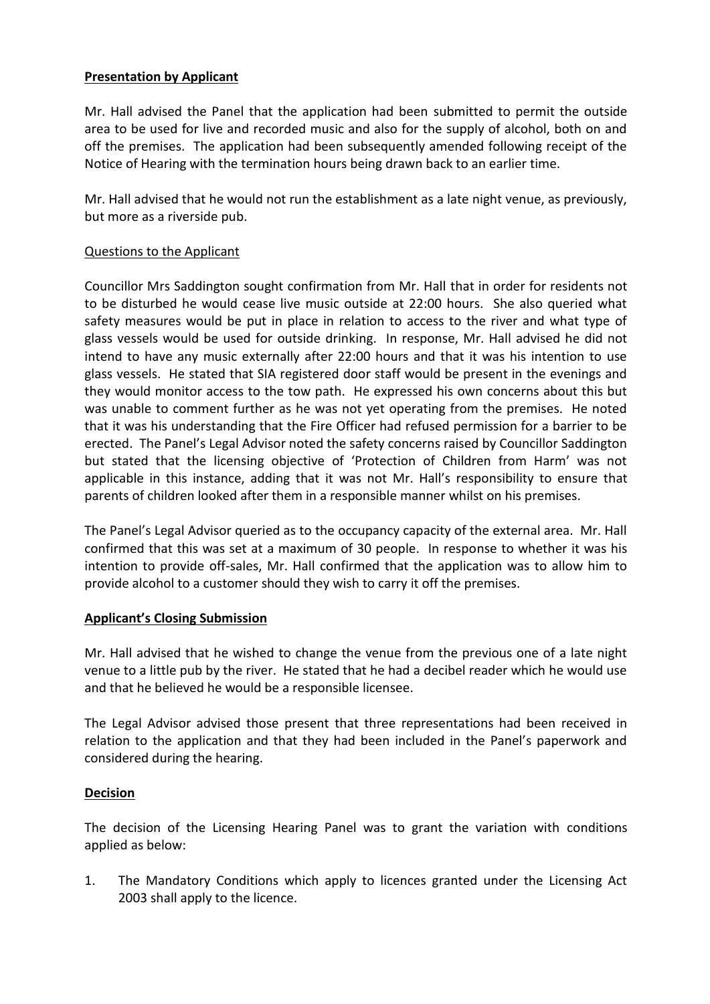## **Presentation by Applicant**

Mr. Hall advised the Panel that the application had been submitted to permit the outside area to be used for live and recorded music and also for the supply of alcohol, both on and off the premises. The application had been subsequently amended following receipt of the Notice of Hearing with the termination hours being drawn back to an earlier time.

Mr. Hall advised that he would not run the establishment as a late night venue, as previously, but more as a riverside pub.

### Questions to the Applicant

Councillor Mrs Saddington sought confirmation from Mr. Hall that in order for residents not to be disturbed he would cease live music outside at 22:00 hours. She also queried what safety measures would be put in place in relation to access to the river and what type of glass vessels would be used for outside drinking. In response, Mr. Hall advised he did not intend to have any music externally after 22:00 hours and that it was his intention to use glass vessels. He stated that SIA registered door staff would be present in the evenings and they would monitor access to the tow path. He expressed his own concerns about this but was unable to comment further as he was not yet operating from the premises. He noted that it was his understanding that the Fire Officer had refused permission for a barrier to be erected. The Panel's Legal Advisor noted the safety concerns raised by Councillor Saddington but stated that the licensing objective of 'Protection of Children from Harm' was not applicable in this instance, adding that it was not Mr. Hall's responsibility to ensure that parents of children looked after them in a responsible manner whilst on his premises.

The Panel's Legal Advisor queried as to the occupancy capacity of the external area. Mr. Hall confirmed that this was set at a maximum of 30 people. In response to whether it was his intention to provide off-sales, Mr. Hall confirmed that the application was to allow him to provide alcohol to a customer should they wish to carry it off the premises.

### **Applicant's Closing Submission**

Mr. Hall advised that he wished to change the venue from the previous one of a late night venue to a little pub by the river. He stated that he had a decibel reader which he would use and that he believed he would be a responsible licensee.

The Legal Advisor advised those present that three representations had been received in relation to the application and that they had been included in the Panel's paperwork and considered during the hearing.

## **Decision**

The decision of the Licensing Hearing Panel was to grant the variation with conditions applied as below:

1. The Mandatory Conditions which apply to licences granted under the Licensing Act 2003 shall apply to the licence.